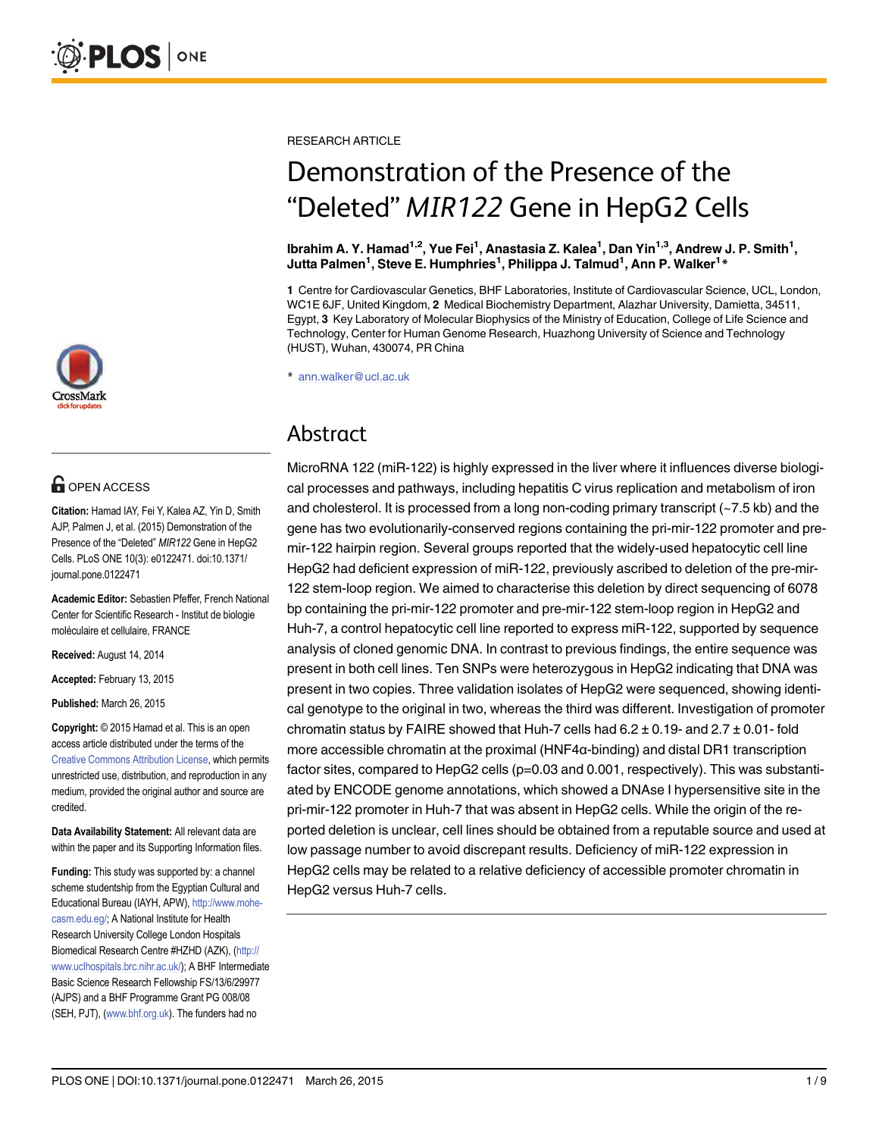

## **O** OPEN ACCESS

Citation: Hamad IAY, Fei Y, Kalea AZ, Yin D, Smith AJP, Palmen J, et al. (2015) Demonstration of the Presence of the "Deleted" MIR122 Gene in HepG2 Cells. PLoS ONE 10(3): e0122471. doi:10.1371/ journal.pone.0122471

Academic Editor: Sebastien Pfeffer, French National Center for Scientific Research - Institut de biologie moléculaire et cellulaire, FRANCE

Received: August 14, 2014

Accepted: February 13, 2015

Published: March 26, 2015

Copyright: © 2015 Hamad et al. This is an open access article distributed under the terms of the [Creative Commons Attribution License,](http://creativecommons.org/licenses/by/4.0/) which permits unrestricted use, distribution, and reproduction in any medium, provided the original author and source are credited.

Data Availability Statement: All relevant data are within the paper and its Supporting Information files.

Funding: This study was supported by: a channel scheme studentship from the Egyptian Cultural and Educational Bureau (IAYH, APW), [http://www.mohe](http://www.mohe-casm.edu.eg/)[casm.edu.eg/](http://www.mohe-casm.edu.eg/); A National Institute for Health Research University College London Hospitals Biomedical Research Centre #HZHD (AZK), ([http://](http://www.uclhospitals.brc.nihr.ac.uk/) [www.uclhospitals.brc.nihr.ac.uk/\)](http://www.uclhospitals.brc.nihr.ac.uk/); A BHF Intermediate Basic Science Research Fellowship FS/13/6/29977 (AJPS) and a BHF Programme Grant PG 008/08 (SEH, PJT), [\(www.bhf.org.uk\)](http://www.bhf.org.uk). The funders had no

RESEARCH ARTICLE

# Demonstration of the Presence of the "Deleted" MIR122 Gene in HepG2 Cells

lbrahim A. Y. Hamad<sup>1,2</sup>, Yue Fei<sup>1</sup>, Anastasia Z. Kalea<sup>1</sup>, Dan Yin<sup>1,3</sup>, Andrew J. P. Smith<sup>1</sup>, Jutta Palmen $^1$ , Steve E. Humphries $^1$ , Philippa J. Talmud $^1$ , Ann P. Walker $^1\ast$ 

1 Centre for Cardiovascular Genetics, BHF Laboratories, Institute of Cardiovascular Science, UCL, London, WC1E 6JF, United Kingdom, 2 Medical Biochemistry Department, Alazhar University, Damietta, 34511, Egypt, 3 Key Laboratory of Molecular Biophysics of the Ministry of Education, College of Life Science and Technology, Center for Human Genome Research, Huazhong University of Science and Technology (HUST), Wuhan, 430074, PR China

\* ann.walker@ucl.ac.uk

### Abstract

MicroRNA 122 (miR-122) is highly expressed in the liver where it influences diverse biological processes and pathways, including hepatitis C virus replication and metabolism of iron and cholesterol. It is processed from a long non-coding primary transcript (~7.5 kb) and the gene has two evolutionarily-conserved regions containing the pri-mir-122 promoter and premir-122 hairpin region. Several groups reported that the widely-used hepatocytic cell line HepG2 had deficient expression of miR-122, previously ascribed to deletion of the pre-mir-122 stem-loop region. We aimed to characterise this deletion by direct sequencing of 6078 bp containing the pri-mir-122 promoter and pre-mir-122 stem-loop region in HepG2 and Huh-7, a control hepatocytic cell line reported to express miR-122, supported by sequence analysis of cloned genomic DNA. In contrast to previous findings, the entire sequence was present in both cell lines. Ten SNPs were heterozygous in HepG2 indicating that DNA was present in two copies. Three validation isolates of HepG2 were sequenced, showing identical genotype to the original in two, whereas the third was different. Investigation of promoter chromatin status by FAIRE showed that Huh-7 cells had  $6.2 \pm 0.19$ - and  $2.7 \pm 0.01$ - fold more accessible chromatin at the proximal (HNF4α-binding) and distal DR1 transcription factor sites, compared to HepG2 cells (p=0.03 and 0.001, respectively). This was substantiated by ENCODE genome annotations, which showed a DNAse I hypersensitive site in the pri-mir-122 promoter in Huh-7 that was absent in HepG2 cells. While the origin of the reported deletion is unclear, cell lines should be obtained from a reputable source and used at low passage number to avoid discrepant results. Deficiency of miR-122 expression in HepG2 cells may be related to a relative deficiency of accessible promoter chromatin in HepG2 versus Huh-7 cells.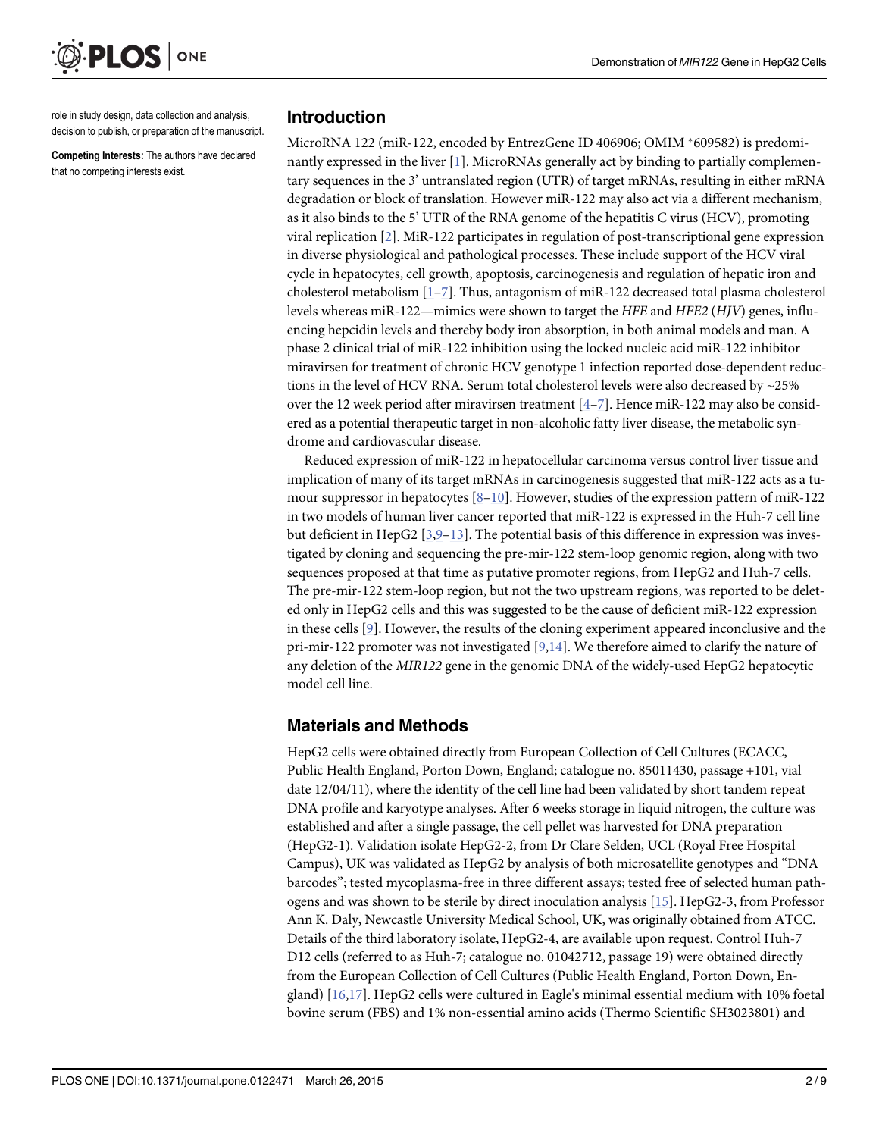<span id="page-1-0"></span>

role in study design, data collection and analysis, decision to publish, or preparation of the manuscript.

Competing Interests: The authors have declared that no competing interests exist.

#### Introduction

MicroRNA 122 (miR-122, encoded by EntrezGene ID 406906; OMIM \*609582) is predominantly expressed in the liver  $[1]$  $[1]$ . MicroRNAs generally act by binding to partially complementary sequences in the 3' untranslated region (UTR) of target mRNAs, resulting in either mRNA degradation or block of translation. However miR-122 may also act via a different mechanism, as it also binds to the 5' UTR of the RNA genome of the hepatitis C virus (HCV), promoting viral replication [\[2](#page-7-0)]. MiR-122 participates in regulation of post-transcriptional gene expression in diverse physiological and pathological processes. These include support of the HCV viral cycle in hepatocytes, cell growth, apoptosis, carcinogenesis and regulation of hepatic iron and cholesterol metabolism  $[1-7]$  $[1-7]$  $[1-7]$  $[1-7]$  $[1-7]$ . Thus, antagonism of miR-122 decreased total plasma cholesterol levels whereas miR-122—mimics were shown to target the HFE and HFE2 (HJV) genes, influencing hepcidin levels and thereby body iron absorption, in both animal models and man. A phase 2 clinical trial of miR-122 inhibition using the locked nucleic acid miR-122 inhibitor miravirsen for treatment of chronic HCV genotype 1 infection reported dose-dependent reductions in the level of HCV RNA. Serum total cholesterol levels were also decreased by  $\sim$ 25% over the 12 week period after miravirsen treatment  $[4-7]$  $[4-7]$  $[4-7]$  $[4-7]$ . Hence miR-122 may also be considered as a potential therapeutic target in non-alcoholic fatty liver disease, the metabolic syndrome and cardiovascular disease.

Reduced expression of miR-122 in hepatocellular carcinoma versus control liver tissue and implication of many of its target mRNAs in carcinogenesis suggested that miR-122 acts as a tumour suppressor in hepatocytes  $[8-10]$  $[8-10]$  $[8-10]$ . However, studies of the expression pattern of miR-122 in two models of human liver cancer reported that miR-122 is expressed in the Huh-7 cell line but deficient in HepG2  $[3,9-13]$  $[3,9-13]$  $[3,9-13]$  $[3,9-13]$  $[3,9-13]$  $[3,9-13]$  $[3,9-13]$ . The potential basis of this difference in expression was investigated by cloning and sequencing the pre-mir-122 stem-loop genomic region, along with two sequences proposed at that time as putative promoter regions, from HepG2 and Huh-7 cells. The pre-mir-122 stem-loop region, but not the two upstream regions, was reported to be deleted only in HepG2 cells and this was suggested to be the cause of deficient miR-122 expression in these cells [\[9](#page-7-0)]. However, the results of the cloning experiment appeared inconclusive and the pri-mir-122 promoter was not investigated  $[9,14]$  $[9,14]$ . We therefore aimed to clarify the nature of any deletion of the MIR122 gene in the genomic DNA of the widely-used HepG2 hepatocytic model cell line.

#### Materials and Methods

HepG2 cells were obtained directly from European Collection of Cell Cultures (ECACC, Public Health England, Porton Down, England; catalogue no. 85011430, passage +101, vial date 12/04/11), where the identity of the cell line had been validated by short tandem repeat DNA profile and karyotype analyses. After 6 weeks storage in liquid nitrogen, the culture was established and after a single passage, the cell pellet was harvested for DNA preparation (HepG2-1). Validation isolate HepG2-2, from Dr Clare Selden, UCL (Royal Free Hospital Campus), UK was validated as HepG2 by analysis of both microsatellite genotypes and "DNA barcodes"; tested mycoplasma-free in three different assays; tested free of selected human pathogens and was shown to be sterile by direct inoculation analysis  $[15]$  $[15]$ . HepG2-3, from Professor Ann K. Daly, Newcastle University Medical School, UK, was originally obtained from ATCC. Details of the third laboratory isolate, HepG2-4, are available upon request. Control Huh-7 D12 cells (referred to as Huh-7; catalogue no. 01042712, passage 19) were obtained directly from the European Collection of Cell Cultures (Public Health England, Porton Down, England)  $[16,17]$ . HepG2 cells were cultured in Eagle's minimal essential medium with 10% foetal bovine serum (FBS) and 1% non-essential amino acids (Thermo Scientific SH3023801) and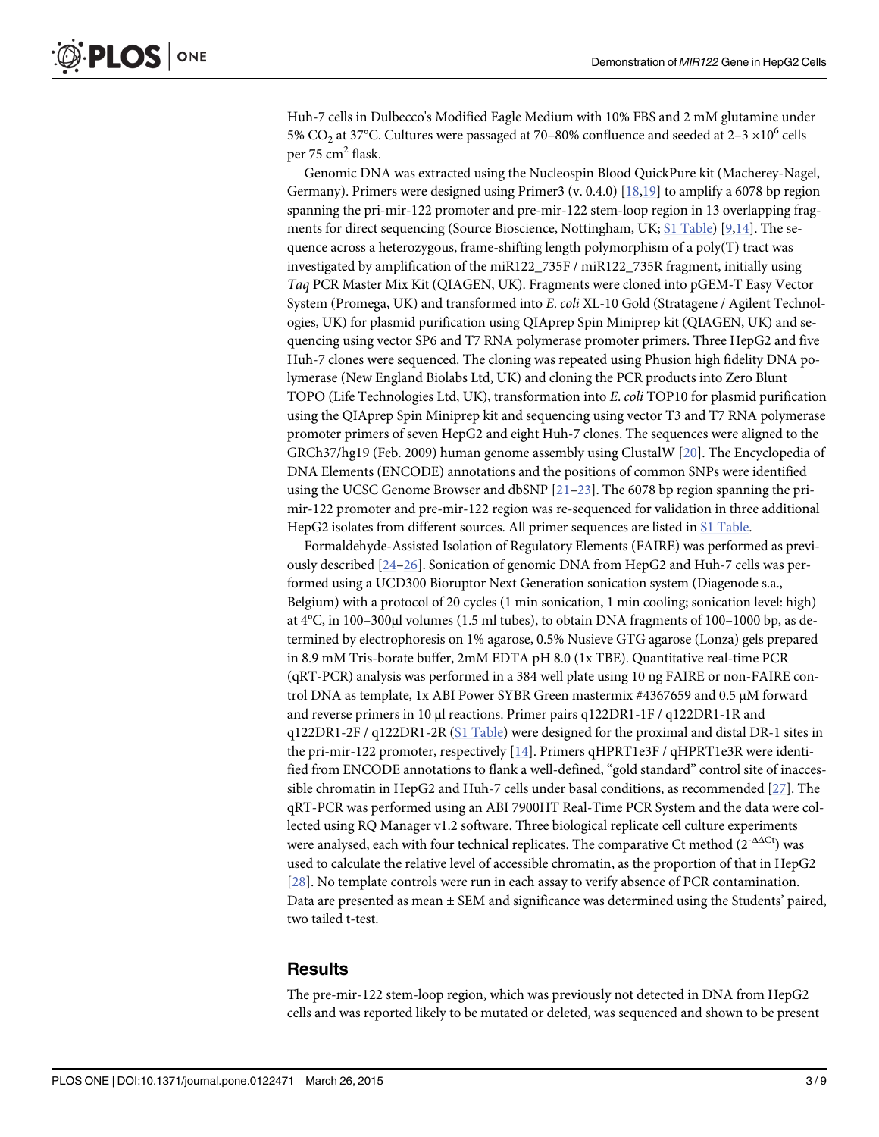<span id="page-2-0"></span>Huh-7 cells in Dulbecco's Modified Eagle Medium with 10% FBS and 2 mM glutamine under 5% CO<sub>2</sub> at 37°C. Cultures were passaged at 70–80% confluence and seeded at 2–3  $\times10^{6}$  cells per 75  $cm<sup>2</sup>$  flask.

Genomic DNA was extracted using the Nucleospin Blood QuickPure kit (Macherey-Nagel, Germany). Primers were designed using Primer3 (v. 0.4.0) [[18,19](#page-8-0)] to amplify a 6078 bp region spanning the pri-mir-122 promoter and pre-mir-122 stem-loop region in 13 overlapping frag-ments for direct sequencing (Source Bioscience, Nottingham, UK; [S1 Table](#page-7-0)) [\[9](#page-7-0),[14](#page-8-0)]. The sequence across a heterozygous, frame-shifting length polymorphism of a poly(T) tract was investigated by amplification of the miR122\_735F / miR122\_735R fragment, initially using Taq PCR Master Mix Kit (QIAGEN, UK). Fragments were cloned into pGEM-T Easy Vector System (Promega, UK) and transformed into E. coli XL-10 Gold (Stratagene / Agilent Technologies, UK) for plasmid purification using QIAprep Spin Miniprep kit (QIAGEN, UK) and sequencing using vector SP6 and T7 RNA polymerase promoter primers. Three HepG2 and five Huh-7 clones were sequenced. The cloning was repeated using Phusion high fidelity DNA polymerase (New England Biolabs Ltd, UK) and cloning the PCR products into Zero Blunt TOPO (Life Technologies Ltd, UK), transformation into E. coli TOP10 for plasmid purification using the QIAprep Spin Miniprep kit and sequencing using vector T3 and T7 RNA polymerase promoter primers of seven HepG2 and eight Huh-7 clones. The sequences were aligned to the GRCh37/hg19 (Feb. 2009) human genome assembly using ClustalW [\[20\]](#page-8-0). The Encyclopedia of DNA Elements (ENCODE) annotations and the positions of common SNPs were identified using the UCSC Genome Browser and dbSNP  $[21-23]$  $[21-23]$  $[21-23]$  $[21-23]$ . The 6078 bp region spanning the primir-122 promoter and pre-mir-122 region was re-sequenced for validation in three additional HepG2 isolates from different sources. All primer sequences are listed in [S1 Table.](#page-7-0)

Formaldehyde-Assisted Isolation of Regulatory Elements (FAIRE) was performed as previously described [[24](#page-8-0)–[26\]](#page-8-0). Sonication of genomic DNA from HepG2 and Huh-7 cells was performed using a UCD300 Bioruptor Next Generation sonication system (Diagenode s.a., Belgium) with a protocol of 20 cycles (1 min sonication, 1 min cooling; sonication level: high) at 4°C, in 100–300μl volumes (1.5 ml tubes), to obtain DNA fragments of 100–1000 bp, as determined by electrophoresis on 1% agarose, 0.5% Nusieve GTG agarose (Lonza) gels prepared in 8.9 mM Tris-borate buffer, 2mM EDTA pH 8.0 (1x TBE). Quantitative real-time PCR (qRT-PCR) analysis was performed in a 384 well plate using 10 ng FAIRE or non-FAIRE control DNA as template, 1x ABI Power SYBR Green mastermix #4367659 and 0.5 μM forward and reverse primers in 10 μl reactions. Primer pairs q122DR1-1F / q122DR1-1R and q122DR1-2F / q122DR1-2R ([S1 Table\)](#page-7-0) were designed for the proximal and distal DR-1 sites in the pri-mir-122 promoter, respectively [[14](#page-8-0)]. Primers qHPRT1e3F / qHPRT1e3R were identified from ENCODE annotations to flank a well-defined, "gold standard" control site of inacces-sible chromatin in HepG2 and Huh-7 cells under basal conditions, as recommended [\[27\]](#page-8-0). The qRT-PCR was performed using an ABI 7900HT Real-Time PCR System and the data were collected using RQ Manager v1.2 software. Three biological replicate cell culture experiments were analysed, each with four technical replicates. The comparative Ct method  $(2<sup>-{\Delta\Delta Ct</sup>}$ ) was used to calculate the relative level of accessible chromatin, as the proportion of that in HepG2 [\[28](#page-8-0)]. No template controls were run in each assay to verify absence of PCR contamination. Data are presented as mean ± SEM and significance was determined using the Students' paired, two tailed t-test.

#### **Results**

The pre-mir-122 stem-loop region, which was previously not detected in DNA from HepG2 cells and was reported likely to be mutated or deleted, was sequenced and shown to be present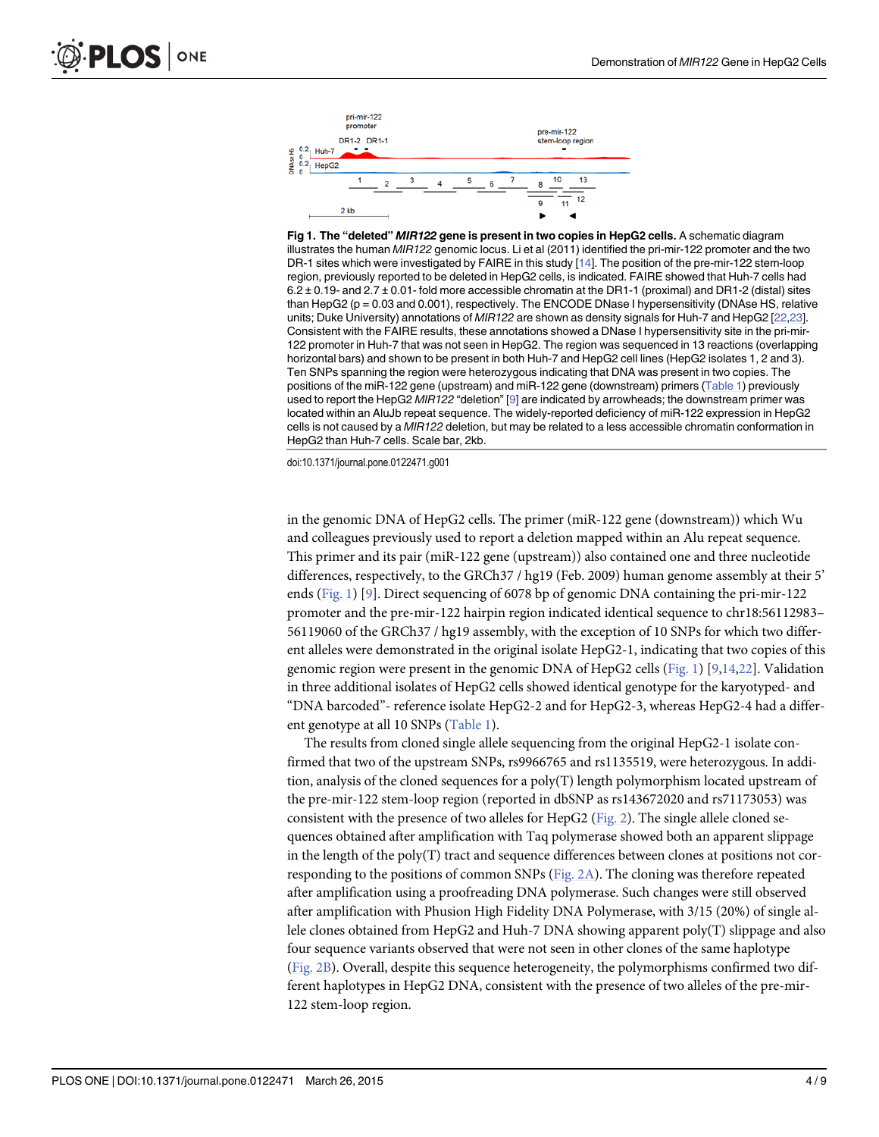<span id="page-3-0"></span>

Fig 1. The "deleted" MIR122 gene is present in two copies in HepG2 cells. A schematic diagram illustrates the human MIR122 genomic locus. Li et al (2011) identified the pri-mir-122 promoter and the two DR-1 sites which were investigated by FAIRE in this study [\[14\]](#page-8-0). The position of the pre-mir-122 stem-loop region, previously reported to be deleted in HepG2 cells, is indicated. FAIRE showed that Huh-7 cells had 6.2 ± 0.19- and 2.7 ± 0.01- fold more accessible chromatin at the DR1-1 (proximal) and DR1-2 (distal) sites than  $HepG2$  ( $p = 0.03$  and  $0.001$ ), respectively. The ENCODE DNase I hypersensitivity (DNAse HS, relative units; Duke University) annotations of MIR122 are shown as density signals for Huh-7 and HepG2 [\[22,23](#page-8-0)]. Consistent with the FAIRE results, these annotations showed a DNase I hypersensitivity site in the pri-mir-122 promoter in Huh-7 that was not seen in HepG2. The region was sequenced in 13 reactions (overlapping horizontal bars) and shown to be present in both Huh-7 and HepG2 cell lines (HepG2 isolates 1, 2 and 3). Ten SNPs spanning the region were heterozygous indicating that DNA was present in two copies. The positions of the miR-122 gene (upstream) and miR-122 gene (downstream) primers [\(Table 1](#page-4-0)) previously used to report the HepG2 MIR122 "deletion" [[9](#page-7-0)] are indicated by arrowheads; the downstream primer was located within an AluJb repeat sequence. The widely-reported deficiency of miR-122 expression in HepG2 cells is not caused by a MIR122 deletion, but may be related to a less accessible chromatin conformation in HepG2 than Huh-7 cells. Scale bar, 2kb.

doi:10.1371/journal.pone.0122471.g001

in the genomic DNA of HepG2 cells. The primer (miR-122 gene (downstream)) which Wu and colleagues previously used to report a deletion mapped within an Alu repeat sequence. This primer and its pair (miR-122 gene (upstream)) also contained one and three nucleotide differences, respectively, to the GRCh37 / hg19 (Feb. 2009) human genome assembly at their 5' ends (Fig. 1) [[9\]](#page-7-0). Direct sequencing of 6078 bp of genomic DNA containing the pri-mir-122 promoter and the pre-mir-122 hairpin region indicated identical sequence to chr18:56112983– 56119060 of the GRCh37 / hg19 assembly, with the exception of 10 SNPs for which two different alleles were demonstrated in the original isolate HepG2-1, indicating that two copies of this genomic region were present in the genomic DNA of HepG2 cells ( $Fig. 1$ ) [[9,](#page-7-0)[14,22](#page-8-0)]. Validation in three additional isolates of HepG2 cells showed identical genotype for the karyotyped- and "DNA barcoded"- reference isolate HepG2-2 and for HepG2-3, whereas HepG2-4 had a differ-ent genotype at all 10 SNPs [\(Table 1](#page-4-0)).

The results from cloned single allele sequencing from the original HepG2-1 isolate confirmed that two of the upstream SNPs, rs9966765 and rs1135519, were heterozygous. In addition, analysis of the cloned sequences for a  $poly(T)$  length polymorphism located upstream of the pre-mir-122 stem-loop region (reported in dbSNP as rs143672020 and rs71173053) was consistent with the presence of two alleles for HepG2 [\(Fig. 2\)](#page-5-0). The single allele cloned sequences obtained after amplification with Taq polymerase showed both an apparent slippage in the length of the poly(T) tract and sequence differences between clones at positions not corresponding to the positions of common SNPs ([Fig. 2A](#page-5-0)). The cloning was therefore repeated after amplification using a proofreading DNA polymerase. Such changes were still observed after amplification with Phusion High Fidelity DNA Polymerase, with 3/15 (20%) of single allele clones obtained from HepG2 and Huh-7 DNA showing apparent poly(T) slippage and also four sequence variants observed that were not seen in other clones of the same haplotype [\(Fig. 2B\)](#page-5-0). Overall, despite this sequence heterogeneity, the polymorphisms confirmed two different haplotypes in HepG2 DNA, consistent with the presence of two alleles of the pre-mir-122 stem-loop region.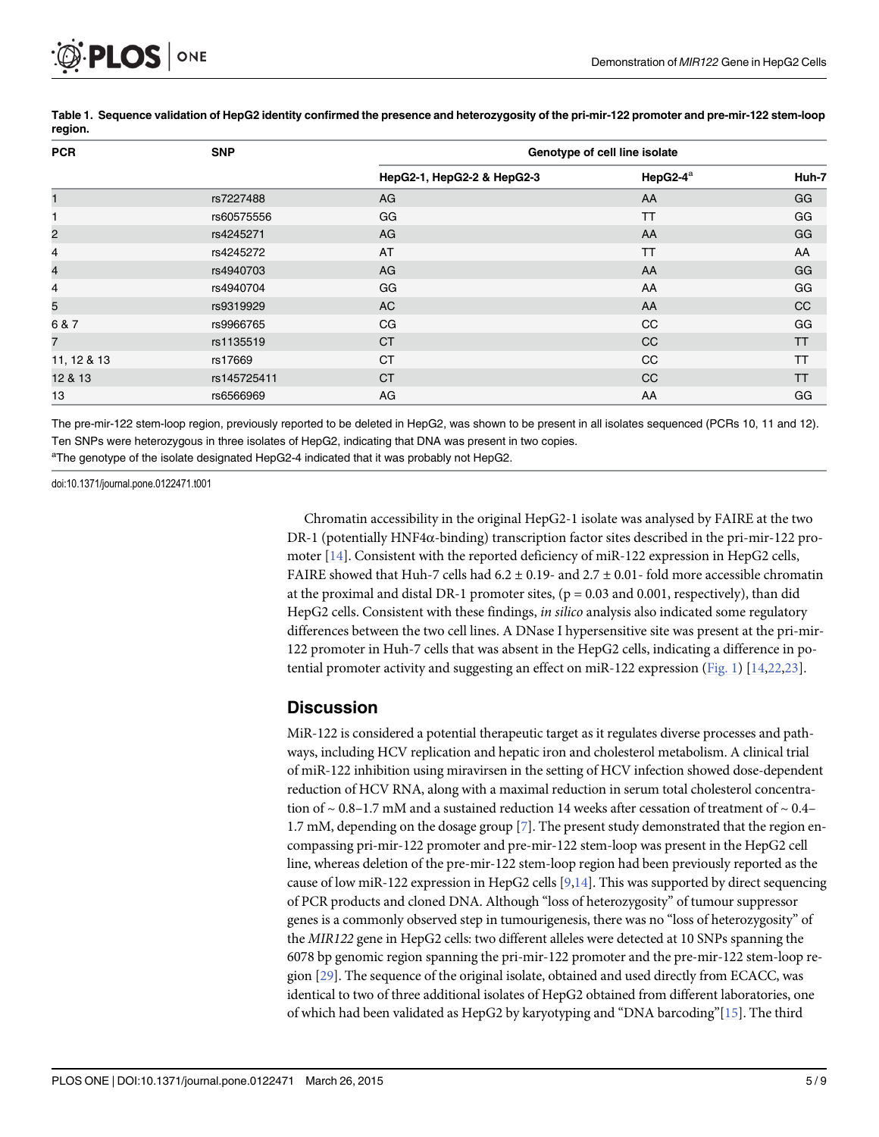<span id="page-4-0"></span>

| <b>PCR</b>     | <b>SNP</b>  | Genotype of cell line isolate |                       |               |
|----------------|-------------|-------------------------------|-----------------------|---------------|
|                |             | HepG2-1, HepG2-2 & HepG2-3    | HepG2- $4^{\text{a}}$ | Huh-7         |
|                | rs7227488   | AG                            | AA                    | GG            |
|                | rs60575556  | GG                            | TΤ                    | GG            |
| $\overline{c}$ | rs4245271   | AG                            | AA                    | GG            |
| 4              | rs4245272   | AT                            | TT                    | AA            |
| 4              | rs4940703   | AG                            | AA                    | GG            |
| 4              | rs4940704   | GG                            | AA                    | GG            |
| 5              | rs9319929   | AC                            | AA                    | <sub>CC</sub> |
| 6 & 7          | rs9966765   | CG                            | CC                    | GG            |
| 7              | rs1135519   | <b>CT</b>                     | CC                    | TΤ            |
| 11, 12 & 13    | rs17669     | <b>CT</b>                     | CC                    | ТT            |
| 12 & 13        | rs145725411 | <b>CT</b>                     | <b>CC</b>             | TT            |
| 13             | rs6566969   | AG                            | AA                    | GG            |

[Table 1.](#page-3-0) Sequence validation of HepG2 identity confirmed the presence and heterozygosity of the pri-mir-122 promoter and pre-mir-122 stem-loop region.

The pre-mir-122 stem-loop region, previously reported to be deleted in HepG2, was shown to be present in all isolates sequenced (PCRs 10, 11 and 12). Ten SNPs were heterozygous in three isolates of HepG2, indicating that DNA was present in two copies.

<sup>a</sup>The genotype of the isolate designated HepG2-4 indicated that it was probably not HepG2.

doi:10.1371/journal.pone.0122471.t001

Chromatin accessibility in the original HepG2-1 isolate was analysed by FAIRE at the two DR-1 (potentially HNF4α-binding) transcription factor sites described in the pri-mir-122 promoter [[14](#page-8-0)]. Consistent with the reported deficiency of miR-122 expression in HepG2 cells, FAIRE showed that Huh-7 cells had  $6.2 \pm 0.19$ - and  $2.7 \pm 0.01$ - fold more accessible chromatin at the proximal and distal DR-1 promoter sites,  $(p = 0.03$  and 0.001, respectively), than did HepG2 cells. Consistent with these findings, *in silico* analysis also indicated some regulatory differences between the two cell lines. A DNase I hypersensitive site was present at the pri-mir-122 promoter in Huh-7 cells that was absent in the HepG2 cells, indicating a difference in potential promoter activity and suggesting an effect on miR-122 expression  $(Fig. 1)$  $(Fig. 1)$  $(Fig. 1)$  [\[14,22,23](#page-8-0)].

#### **Discussion**

MiR-122 is considered a potential therapeutic target as it regulates diverse processes and pathways, including HCV replication and hepatic iron and cholesterol metabolism. A clinical trial of miR-122 inhibition using miravirsen in the setting of HCV infection showed dose-dependent reduction of HCV RNA, along with a maximal reduction in serum total cholesterol concentration of  $\sim$  0.8–1.7 mM and a sustained reduction 14 weeks after cessation of treatment of  $\sim$  0.4– 1.7 mM, depending on the dosage group [[7\]](#page-7-0). The present study demonstrated that the region encompassing pri-mir-122 promoter and pre-mir-122 stem-loop was present in the HepG2 cell line, whereas deletion of the pre-mir-122 stem-loop region had been previously reported as the cause of low miR-122 expression in HepG2 cells [\[9](#page-7-0)[,14\]](#page-8-0). This was supported by direct sequencing of PCR products and cloned DNA. Although "loss of heterozygosity" of tumour suppressor genes is a commonly observed step in tumourigenesis, there was no "loss of heterozygosity" of the MIR122 gene in HepG2 cells: two different alleles were detected at 10 SNPs spanning the 6078 bp genomic region spanning the pri-mir-122 promoter and the pre-mir-122 stem-loop region [\[29](#page-8-0)]. The sequence of the original isolate, obtained and used directly from ECACC, was identical to two of three additional isolates of HepG2 obtained from different laboratories, one of which had been validated as HepG2 by karyotyping and "DNA barcoding"[ $15$ ]. The third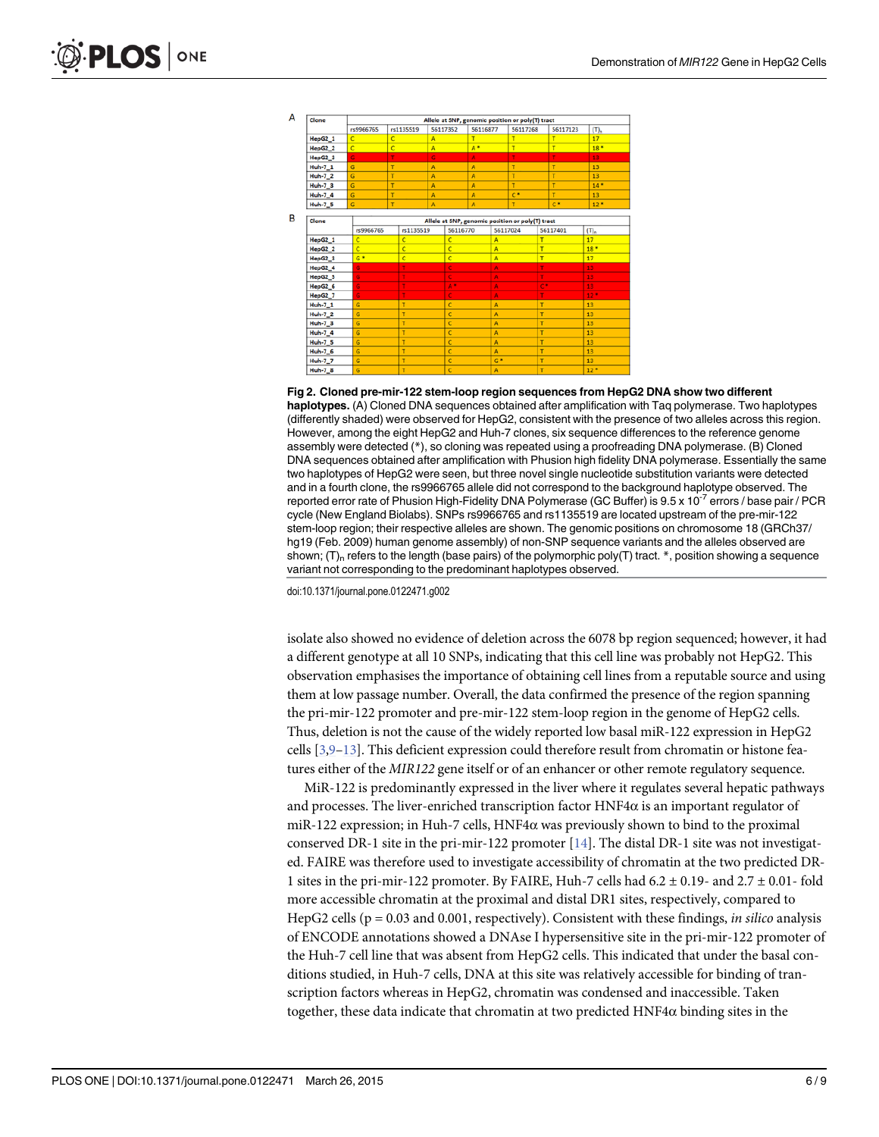<span id="page-5-0"></span>

[Fig 2. C](#page-3-0)loned pre-mir-122 stem-loop region sequences from HepG2 DNA show two different haplotypes. (A) Cloned DNA sequences obtained after amplification with Taq polymerase. Two haplotypes (differently shaded) were observed for HepG2, consistent with the presence of two alleles across this region. However, among the eight HepG2 and Huh-7 clones, six sequence differences to the reference genome assembly were detected (\*), so cloning was repeated using a proofreading DNA polymerase. (B) Cloned DNA sequences obtained after amplification with Phusion high fidelity DNA polymerase. Essentially the same two haplotypes of HepG2 were seen, but three novel single nucleotide substitution variants were detected and in a fourth clone, the rs9966765 allele did not correspond to the background haplotype observed. The reported error rate of Phusion High-Fidelity DNA Polymerase (GC Buffer) is 9.5 x 10<sup>-7</sup> errors / base pair / PCR cycle (New England Biolabs). SNPs rs9966765 and rs1135519 are located upstream of the pre-mir-122 stem-loop region; their respective alleles are shown. The genomic positions on chromosome 18 (GRCh37/ hg19 (Feb. 2009) human genome assembly) of non-SNP sequence variants and the alleles observed are shown;  $(T)_n$  refers to the length (base pairs) of the polymorphic poly(T) tract. \*, position showing a sequence variant not corresponding to the predominant haplotypes observed.

doi:10.1371/journal.pone.0122471.g002

isolate also showed no evidence of deletion across the 6078 bp region sequenced; however, it had a different genotype at all 10 SNPs, indicating that this cell line was probably not HepG2. This observation emphasises the importance of obtaining cell lines from a reputable source and using them at low passage number. Overall, the data confirmed the presence of the region spanning the pri-mir-122 promoter and pre-mir-122 stem-loop region in the genome of HepG2 cells. Thus, deletion is not the cause of the widely reported low basal miR-122 expression in HepG2 cells  $[3,9-13]$  $[3,9-13]$  $[3,9-13]$  $[3,9-13]$ . This deficient expression could therefore result from chromatin or histone features either of the MIR122 gene itself or of an enhancer or other remote regulatory sequence.

MiR-122 is predominantly expressed in the liver where it regulates several hepatic pathways and processes. The liver-enriched transcription factor HNF4α is an important regulator of miR-122 expression; in Huh-7 cells,  $HNF4\alpha$  was previously shown to bind to the proximal conserved DR-1 site in the pri-mir-122 promoter  $[14]$  $[14]$  $[14]$ . The distal DR-1 site was not investigated. FAIRE was therefore used to investigate accessibility of chromatin at the two predicted DR-1 sites in the pri-mir-122 promoter. By FAIRE, Huh-7 cells had  $6.2 \pm 0.19$ - and  $2.7 \pm 0.01$ - fold more accessible chromatin at the proximal and distal DR1 sites, respectively, compared to HepG2 cells ( $p = 0.03$  and 0.001, respectively). Consistent with these findings, *in silico* analysis of ENCODE annotations showed a DNAse I hypersensitive site in the pri-mir-122 promoter of the Huh-7 cell line that was absent from HepG2 cells. This indicated that under the basal conditions studied, in Huh-7 cells, DNA at this site was relatively accessible for binding of transcription factors whereas in HepG2, chromatin was condensed and inaccessible. Taken together, these data indicate that chromatin at two predicted  $HNF4\alpha$  binding sites in the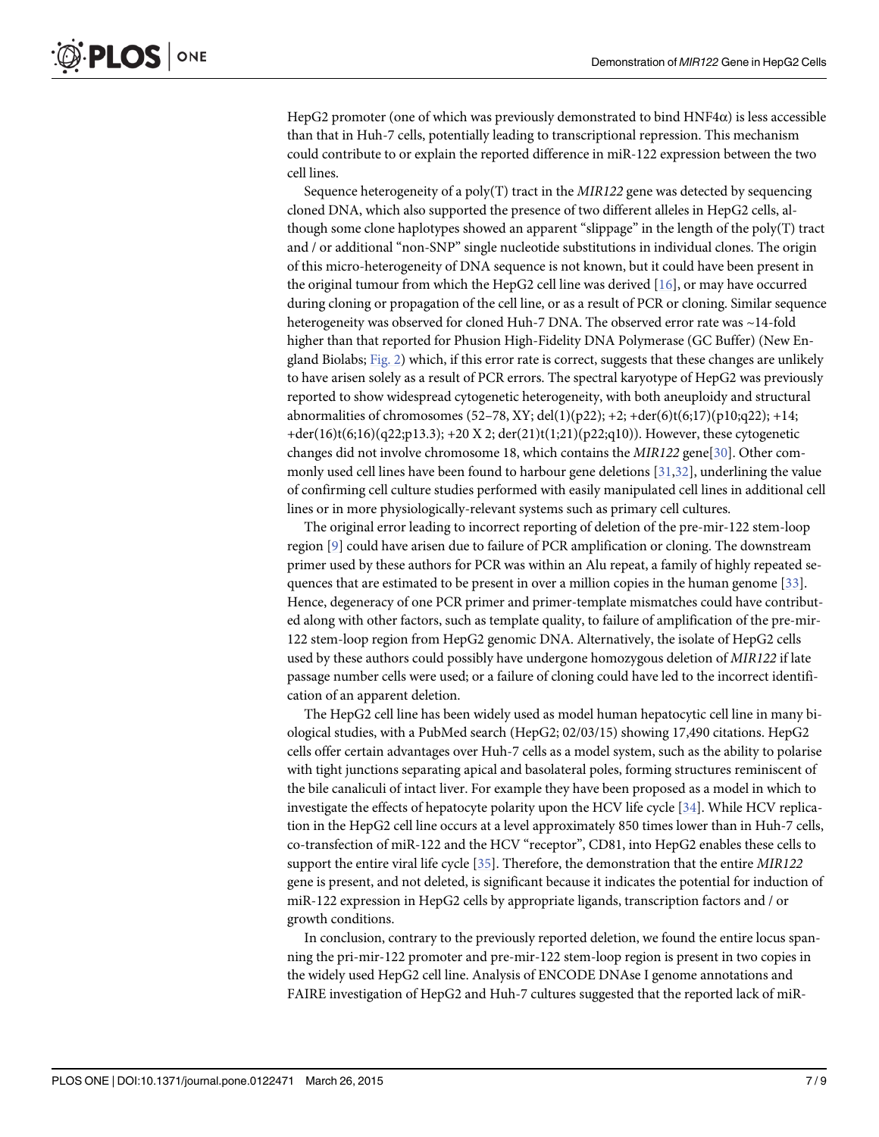<span id="page-6-0"></span>HepG2 promoter (one of which was previously demonstrated to bind  $HNF4\alpha$ ) is less accessible than that in Huh-7 cells, potentially leading to transcriptional repression. This mechanism could contribute to or explain the reported difference in miR-122 expression between the two cell lines.

Sequence heterogeneity of a poly(T) tract in the  $MIR122$  gene was detected by sequencing cloned DNA, which also supported the presence of two different alleles in HepG2 cells, although some clone haplotypes showed an apparent "slippage" in the length of the poly(T) tract and / or additional "non-SNP" single nucleotide substitutions in individual clones. The origin of this micro-heterogeneity of DNA sequence is not known, but it could have been present in the original tumour from which the HepG2 cell line was derived  $[16]$  $[16]$ , or may have occurred during cloning or propagation of the cell line, or as a result of PCR or cloning. Similar sequence heterogeneity was observed for cloned Huh-7 DNA. The observed error rate was ~14-fold higher than that reported for Phusion High-Fidelity DNA Polymerase (GC Buffer) (New England Biolabs; [Fig. 2](#page-5-0)) which, if this error rate is correct, suggests that these changes are unlikely to have arisen solely as a result of PCR errors. The spectral karyotype of HepG2 was previously reported to show widespread cytogenetic heterogeneity, with both aneuploidy and structural abnormalities of chromosomes (52–78, XY; del(1)(p22); +2; +der(6)t(6;17)(p10;q22); +14; +der(16)t(6;16)(q22;p13.3); +20 X 2; der(21)t(1;21)(p22;q10)). However, these cytogenetic changes did not involve chromosome 18, which contains the MIR122 gene[\[30\]](#page-8-0). Other com-monly used cell lines have been found to harbour gene deletions [[31,32\]](#page-8-0), underlining the value of confirming cell culture studies performed with easily manipulated cell lines in additional cell lines or in more physiologically-relevant systems such as primary cell cultures.

The original error leading to incorrect reporting of deletion of the pre-mir-122 stem-loop region [\[9\]](#page-7-0) could have arisen due to failure of PCR amplification or cloning. The downstream primer used by these authors for PCR was within an Alu repeat, a family of highly repeated sequences that are estimated to be present in over a million copies in the human genome [\[33\]](#page-8-0). Hence, degeneracy of one PCR primer and primer-template mismatches could have contributed along with other factors, such as template quality, to failure of amplification of the pre-mir-122 stem-loop region from HepG2 genomic DNA. Alternatively, the isolate of HepG2 cells used by these authors could possibly have undergone homozygous deletion of MIR122 if late passage number cells were used; or a failure of cloning could have led to the incorrect identification of an apparent deletion.

The HepG2 cell line has been widely used as model human hepatocytic cell line in many biological studies, with a PubMed search (HepG2; 02/03/15) showing 17,490 citations. HepG2 cells offer certain advantages over Huh-7 cells as a model system, such as the ability to polarise with tight junctions separating apical and basolateral poles, forming structures reminiscent of the bile canaliculi of intact liver. For example they have been proposed as a model in which to investigate the effects of hepatocyte polarity upon the HCV life cycle [[34](#page-8-0)]. While HCV replication in the HepG2 cell line occurs at a level approximately 850 times lower than in Huh-7 cells, co-transfection of miR-122 and the HCV "receptor", CD81, into HepG2 enables these cells to support the entire viral life cycle [[35](#page-8-0)]. Therefore, the demonstration that the entire MIR122 gene is present, and not deleted, is significant because it indicates the potential for induction of miR-122 expression in HepG2 cells by appropriate ligands, transcription factors and / or growth conditions.

In conclusion, contrary to the previously reported deletion, we found the entire locus spanning the pri-mir-122 promoter and pre-mir-122 stem-loop region is present in two copies in the widely used HepG2 cell line. Analysis of ENCODE DNAse I genome annotations and FAIRE investigation of HepG2 and Huh-7 cultures suggested that the reported lack of miR-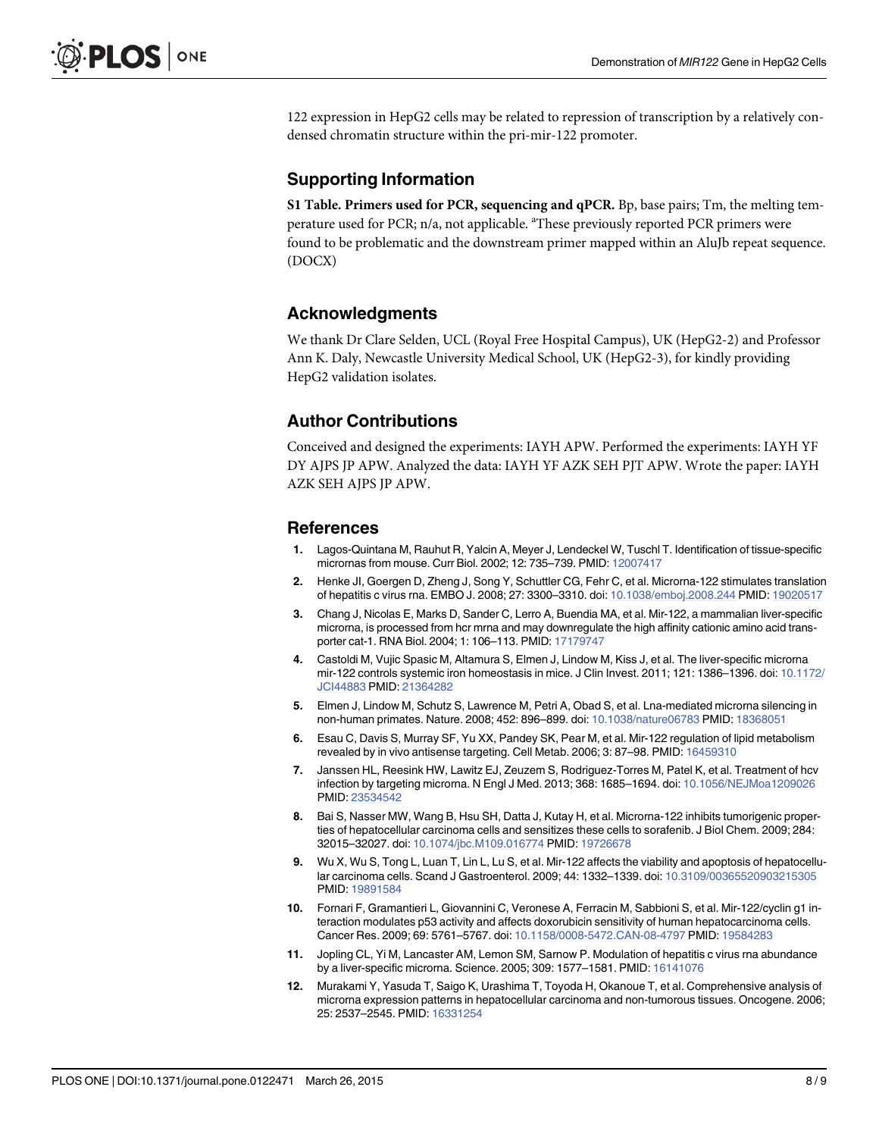<span id="page-7-0"></span>122 expression in HepG2 cells may be related to repression of transcription by a relatively condensed chromatin structure within the pri-mir-122 promoter.

#### Supporting Information

[S1 Table](http://www.plosone.org/article/fetchSingleRepresentation.action?uri=info:doi/10.1371/journal.pone.0122471.s001). Primers used for PCR, sequencing and qPCR. Bp, base pairs; Tm, the melting temperature used for PCR; n/a, not applicable. <sup>a</sup>These previously reported PCR primers were found to be problematic and the downstream primer mapped within an AluJb repeat sequence. (DOCX)

#### Acknowledgments

We thank Dr Clare Selden, UCL (Royal Free Hospital Campus), UK (HepG2-2) and Professor Ann K. Daly, Newcastle University Medical School, UK (HepG2-3), for kindly providing HepG2 validation isolates.

#### Author Contributions

Conceived and designed the experiments: IAYH APW. Performed the experiments: IAYH YF DY AJPS JP APW. Analyzed the data: IAYH YF AZK SEH PJT APW. Wrote the paper: IAYH AZK SEH AJPS JP APW.

#### References

- [1.](#page-1-0) Lagos-Quintana M, Rauhut R, Yalcin A, Meyer J, Lendeckel W, Tuschl T. Identification of tissue-specific micrornas from mouse. Curr Biol. 2002; 12: 735–739. PMID: [12007417](http://www.ncbi.nlm.nih.gov/pubmed/12007417)
- [2.](#page-1-0) Henke JI, Goergen D, Zheng J, Song Y, Schuttler CG, Fehr C, et al. Microrna-122 stimulates translation of hepatitis c virus rna. EMBO J. 2008; 27: 3300–3310. doi: [10.1038/emboj.2008.244](http://dx.doi.org/10.1038/emboj.2008.244) PMID: [19020517](http://www.ncbi.nlm.nih.gov/pubmed/19020517)
- [3.](#page-1-0) Chang J, Nicolas E, Marks D, Sander C, Lerro A, Buendia MA, et al. Mir-122, a mammalian liver-specific microrna, is processed from hcr mrna and may downregulate the high affinity cationic amino acid transporter cat-1. RNA Biol. 2004; 1: 106–113. PMID: [17179747](http://www.ncbi.nlm.nih.gov/pubmed/17179747)
- [4.](#page-1-0) Castoldi M, Vujic Spasic M, Altamura S, Elmen J, Lindow M, Kiss J, et al. The liver-specific microrna mir-122 controls systemic iron homeostasis in mice. J Clin Invest. 2011; 121: 1386–1396. doi: [10.1172/](http://dx.doi.org/10.1172/JCI44883) [JCI44883](http://dx.doi.org/10.1172/JCI44883) PMID: [21364282](http://www.ncbi.nlm.nih.gov/pubmed/21364282)
- 5. Elmen J, Lindow M, Schutz S, Lawrence M, Petri A, Obad S, et al. Lna-mediated microrna silencing in non-human primates. Nature. 2008; 452: 896–899. doi: [10.1038/nature06783](http://dx.doi.org/10.1038/nature06783) PMID: [18368051](http://www.ncbi.nlm.nih.gov/pubmed/18368051)
- 6. Esau C, Davis S, Murray SF, Yu XX, Pandey SK, Pear M, et al. Mir-122 regulation of lipid metabolism revealed by in vivo antisense targeting. Cell Metab. 2006; 3: 87–98. PMID: [16459310](http://www.ncbi.nlm.nih.gov/pubmed/16459310)
- [7.](#page-1-0) Janssen HL, Reesink HW, Lawitz EJ, Zeuzem S, Rodriguez-Torres M, Patel K, et al. Treatment of hcv infection by targeting microrna. N Engl J Med. 2013; 368: 1685–1694. doi: [10.1056/NEJMoa1209026](http://dx.doi.org/10.1056/NEJMoa1209026) PMID: [23534542](http://www.ncbi.nlm.nih.gov/pubmed/23534542)
- [8.](#page-1-0) Bai S, Nasser MW, Wang B, Hsu SH, Datta J, Kutay H, et al. Microrna-122 inhibits tumorigenic properties of hepatocellular carcinoma cells and sensitizes these cells to sorafenib. J Biol Chem. 2009; 284: 32015–32027. doi: [10.1074/jbc.M109.016774](http://dx.doi.org/10.1074/jbc.M109.016774) PMID: [19726678](http://www.ncbi.nlm.nih.gov/pubmed/19726678)
- [9.](#page-1-0) Wu X, Wu S, Tong L, Luan T, Lin L, Lu S, et al. Mir-122 affects the viability and apoptosis of hepatocellular carcinoma cells. Scand J Gastroenterol. 2009; 44: 1332–1339. doi: [10.3109/00365520903215305](http://dx.doi.org/10.3109/00365520903215305) PMID: [19891584](http://www.ncbi.nlm.nih.gov/pubmed/19891584)
- [10.](#page-1-0) Fornari F, Gramantieri L, Giovannini C, Veronese A, Ferracin M, Sabbioni S, et al. Mir-122/cyclin g1 interaction modulates p53 activity and affects doxorubicin sensitivity of human hepatocarcinoma cells. Cancer Res. 2009; 69: 5761–5767. doi: [10.1158/0008-5472.CAN-08-4797](http://dx.doi.org/10.1158/0008-5472.CAN-08-4797) PMID: [19584283](http://www.ncbi.nlm.nih.gov/pubmed/19584283)
- 11. Jopling CL, Yi M, Lancaster AM, Lemon SM, Sarnow P. Modulation of hepatitis c virus rna abundance by a liver-specific microrna. Science. 2005; 309: 1577-1581. PMID: [16141076](http://www.ncbi.nlm.nih.gov/pubmed/16141076)
- 12. Murakami Y, Yasuda T, Saigo K, Urashima T, Toyoda H, Okanoue T, et al. Comprehensive analysis of microrna expression patterns in hepatocellular carcinoma and non-tumorous tissues. Oncogene. 2006; 25: 2537–2545. PMID: [16331254](http://www.ncbi.nlm.nih.gov/pubmed/16331254)